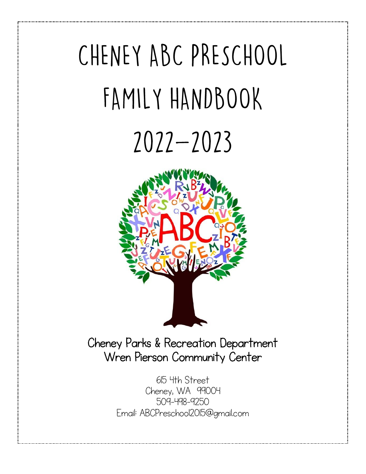# CHENEY ABC PRESCHOOL FAMILY HANDBOOK





Cheney Parks & Recreation Department Wren Pierson Community Center

> 615 4th Street Cheney, WA 99004 509-498-9250 [Email:](mailto:ABCPRESCHOOL2015@GMAIL.COM) [ABCPreschool2015@gmail.com](mailto:ABCPreschool2015@gmail.com)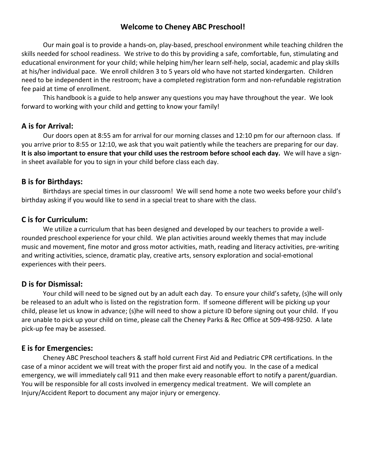## **Welcome to Cheney ABC Preschool!**

Our main goal is to provide a hands-on, play-based, preschool environment while teaching children the skills needed for school readiness. We strive to do this by providing a safe, comfortable, fun, stimulating and educational environment for your child; while helping him/her learn self-help, social, academic and play skills at his/her individual pace. We enroll children 3 to 5 years old who have not started kindergarten.Children need to be independent in the restroom; have a completed registration form and non-refundable registration fee paid at time of enrollment.

This handbook is a guide to help answer any questions you may have throughout the year. We look forward to working with your child and getting to know your family!

#### **A is for Arrival:**

Our doors open at 8:55 am for arrival for our morning classes and 12:10 pm for our afternoon class. If you arrive prior to 8:55 or 12:10, we ask that you wait patiently while the teachers are preparing for our day. **It is also important to ensure that your child uses the restroom before school each day.** We will have a signin sheet available for you to sign in your child before class each day.

#### **B is for Birthdays:**

Birthdays are special times in our classroom! We will send home a note two weeks before your child's birthday asking if you would like to send in a special treat to share with the class.

#### **C is for Curriculum:**

We utilize a curriculum that has been designed and developed by our teachers to provide a wellrounded preschool experience for your child. We plan activities around weekly themes that may include music and movement, fine motor and gross motor activities, math, reading and literacy activities, pre-writing and writing activities, science, dramatic play, creative arts, sensory exploration and social-emotional experiences with their peers.

## **D is for Dismissal:**

Your child will need to be signed out by an adult each day. To ensure your child's safety, (s)he will only be released to an adult who is listed on the registration form. If someone different will be picking up your child, please let us know in advance; (s)he will need to show a picture ID before signing out your child. If you are unable to pick up your child on time, please call the Cheney Parks & Rec Office at 509-498-9250. A late pick-up fee may be assessed.

## **E is for Emergencies:**

Cheney ABC Preschool teachers & staff hold current First Aid and Pediatric CPR certifications. In the case of a minor accident we will treat with the proper first aid and notify you. In the case of a medical emergency, we will immediately call 911 and then make every reasonable effort to notify a parent/guardian. You will be responsible for all costs involved in emergency medical treatment. We will complete an Injury/Accident Report to document any major injury or emergency.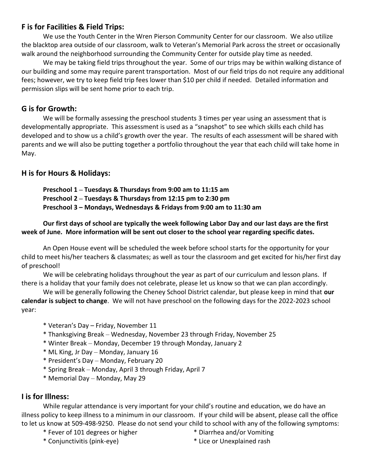# **F is for Facilities & Field Trips:**

We use the Youth Center in the Wren Pierson Community Center for our classroom. We also utilize the blacktop area outside of our classroom, walk to Veteran's Memorial Park across the street or occasionally walk around the neighborhood surrounding the Community Center for outside play time as needed.

We may be taking field trips throughout the year. Some of our trips may be within walking distance of our building and some may require parent transportation. Most of our field trips do not require any additional fees; however, we try to keep field trip fees lower than \$10 per child if needed. Detailed information and permission slips will be sent home prior to each trip.

# **G is for Growth:**

We will be formally assessing the preschool students 3 times per year using an assessment that is developmentally appropriate. This assessment is used as a "snapshot" to see which skills each child has developed and to show us a child's growth over the year. The results of each assessment will be shared with parents and we will also be putting together a portfolio throughout the year that each child will take home in May.

# **H is for Hours & Holidays:**

**Preschool 1 – Tuesdays & Thursdays from 9:00 am to 11:15 am Preschool 2 – Tuesdays & Thursdays from 12:15 pm to 2:30 pm Preschool 3 – Mondays, Wednesdays & Fridays from 9:00 am to 11:30 am**

#### **Our first days of school are typically the week following Labor Day and our last days are the first week of June. More information will be sent out closer to the school year regarding specific dates.**

An Open House event will be scheduled the week before school starts for the opportunity for your child to meet his/her teachers & classmates; as well as tour the classroom and get excited for his/her first day of preschool!

We will be celebrating holidays throughout the year as part of our curriculum and lesson plans. If there is a holiday that your family does not celebrate, please let us know so that we can plan accordingly.

We will be generally following the Cheney School District calendar, but please keep in mind that **our calendar is subject to change**. We will not have preschool on the following days for the 2022-2023 school year:

- \* Veteran's Day Friday, November 11
- \* Thanksgiving Break Wednesday, November 23 through Friday, November 25
- \* Winter Break Monday, December 19 through Monday, January 2
- \* ML King, Jr Day Monday, January 16
- \* President's Day Monday, February 20
- \* Spring Break Monday, April 3 through Friday, April 7
- \* Memorial Day Monday, May 29

## **I is for Illness:**

While regular attendance is very important for your child's routine and education, we do have an illness policy to keep illness to a minimum in our classroom. If your child will be absent, please call the office to let us know at 509-498-9250. Please do not send your child to school with any of the following symptoms:

- \* Fever of 101 degrees or higher \* Diarrhea and/or Vomiting
	-
- 
- \* Conjunctivitis (pink-eye) \* Lice or Unexplained rash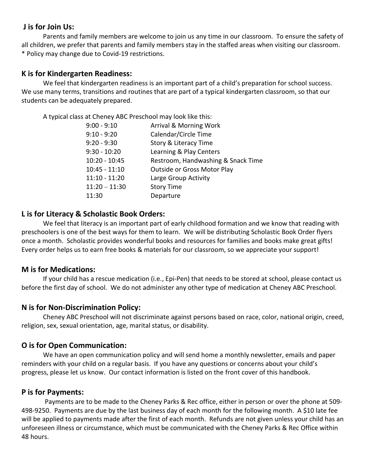### **J is for Join Us:**

Parents and family members are welcome to join us any time in our classroom. To ensure the safety of all children, we prefer that parents and family members stay in the staffed areas when visiting our classroom. \* Policy may change due to Covid-19 restrictions.

### **K is for Kindergarten Readiness:**

We feel that kindergarten readiness is an important part of a child's preparation for school success. We use many terms, transitions and routines that are part of a typical kindergarten classroom, so that our students can be adequately prepared.

A typical class at Cheney ABC Preschool may look like this:

| $9:00 - 9:10$   | <b>Arrival &amp; Morning Work</b>  |
|-----------------|------------------------------------|
| $9:10 - 9:20$   | Calendar/Circle Time               |
| $9:20 - 9:30$   | Story & Literacy Time              |
| $9:30 - 10:20$  | Learning & Play Centers            |
| $10:20 - 10:45$ | Restroom, Handwashing & Snack Time |
| $10:45 - 11:10$ | Outside or Gross Motor Play        |
| $11:10 - 11:20$ | Large Group Activity               |
| $11:20 - 11:30$ | <b>Story Time</b>                  |
| 11:30           | Departure                          |
|                 |                                    |

#### **L is for Literacy & Scholastic Book Orders:**

We feel that literacy is an important part of early childhood formation and we know that reading with preschoolers is one of the best ways for them to learn. We will be distributing Scholastic Book Order flyers once a month. Scholastic provides wonderful books and resources for families and books make great gifts! Every order helps us to earn free books & materials for our classroom, so we appreciate your support!

#### **M is for Medications:**

If your child has a rescue medication (i.e., Epi-Pen) that needs to be stored at school, please contact us before the first day of school. We do not administer any other type of medication at Cheney ABC Preschool.

## **N is for Non-Discrimination Policy:**

Cheney ABC Preschool will not discriminate against persons based on race, color, national origin, creed, religion, sex, sexual orientation, age, marital status, or disability.

## **O is for Open Communication:**

We have an open communication policy and will send home a monthly newsletter, emails and paper reminders with your child on a regular basis. If you have any questions or concerns about your child's progress, please let us know. Our contact information is listed on the front cover of this handbook.

## **P is for Payments:**

Payments are to be made to the Cheney Parks & Rec office, either in person or over the phone at 509- 498-9250. Payments are due by the last business day of each month for the following month. A \$10 late fee will be applied to payments made after the first of each month. Refunds are not given unless your child has an unforeseen illness or circumstance, which must be communicated with the Cheney Parks & Rec Office within 48 hours.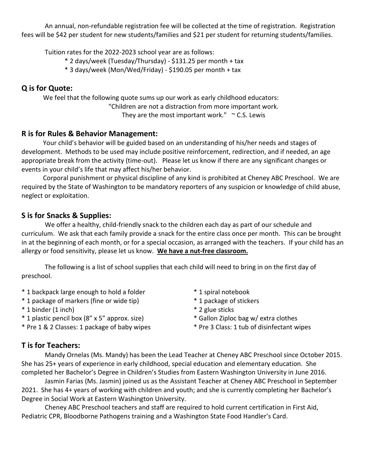An annual, non-refundable registration fee will be collected at the time of registration. Registration fees will be \$42 per student for new students/families and \$21 per student for returning students/families.

Tuition rates for the 2022-2023 school year are as follows:

- \* 2 days/week (Tuesday/Thursday) \$131.25 per month + tax
- \* 3 days/week (Mon/Wed/Friday) \$190.05 per month + tax

# **Q is for Quote:**

We feel that the following quote sums up our work as early childhood educators: "Children are not a distraction from more important work. They are the most important work."  $\sim$  C.S. Lewis

# **R is for Rules & Behavior Management:**

Your child's behavior will be guided based on an understanding of his/her needs and stages of development. Methods to be used may include positive reinforcement, redirection, and if needed, an age appropriate break from the activity (time-out). Please let us know if there are any significant changes or events in your child's life that may affect his/her behavior.

Corporal punishment or physical discipline of any kind is prohibited at Cheney ABC Preschool. We are required by the State of Washington to be mandatory reporters of any suspicion or knowledge of child abuse, neglect or exploitation.

# **S is for Snacks & Supplies:**

We offer a healthy, child-friendly snack to the children each day as part of our schedule and curriculum. We ask that each family provide a snack for the entire class once per month. This can be brought in at the beginning of each month, or for a special occasion, as arranged with the teachers. If your child has an allergy or food sensitivity, please let us know. **We have a nut-free classroom.**

The following is a list of school supplies that each child will need to bring in on the first day of preschool.

- \* 1 backpack large enough to hold a folder \* 1 spiral notebook
- \* 1 package of markers (fine or wide tip) \* 1 package of stickers
- \* 1 binder (1 inch) \* 2 glue sticks
- \* 1 plastic pencil box (8" x 5" approx. size) \* Gallon Ziploc bag w/ extra clothes
- \* Pre 1 & 2 Classes: 1 package of baby wipes \* Pre 3 Class: 1 tub of disinfectant wipes
- 
- 
- 
- -

# **T is for Teachers:**

Mandy Ornelas (Ms. Mandy) has been the Lead Teacher at Cheney ABC Preschool since October 2015. She has 25+ years of experience in early childhood, special education and elementary education. She completed her Bachelor's Degree in Children's Studies from Eastern Washington University in June 2016.

Jasmin Farias (Ms. Jasmin) joined us as the Assistant Teacher at Cheney ABC Preschool in September 2021. She has 4+ years of working with children and youth; and she is currently completing her Bachelor's Degree in Social Work at Eastern Washington University.

Cheney ABC Preschool teachers and staff are required to hold current certification in First Aid, Pediatric CPR, Bloodborne Pathogens training and a Washington State Food Handler's Card.